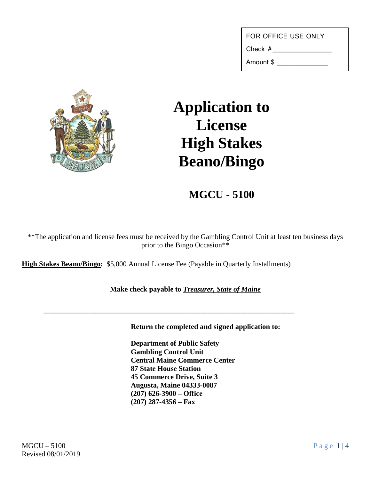Check #\_\_\_\_\_\_\_\_\_\_\_\_\_\_\_

Amount \$ \_\_\_\_\_\_\_\_\_\_\_\_\_



## **Application to License High Stakes Beano/Bingo**

## **MGCU - 5100**

\*\*The application and license fees must be received by the Gambling Control Unit at least ten business days prior to the Bingo Occasion\*\*

**High Stakes Beano/Bingo:** \$5,000 Annual License Fee (Payable in Quarterly Installments)

## **Make check payable to** *Treasurer, State of Maine*

**\_\_\_\_\_\_\_\_\_\_\_\_\_\_\_\_\_\_\_\_\_\_\_\_\_\_\_\_\_\_\_\_\_\_\_\_\_\_\_\_\_\_\_\_\_\_\_\_\_\_\_\_\_\_\_\_\_\_\_\_\_\_\_\_\_\_\_\_\_**

**Return the completed and signed application to:**

**Department of Public Safety Gambling Control Unit Central Maine Commerce Center 87 State House Station 45 Commerce Drive, Suite 3 Augusta, Maine 04333-0087 (207) 626-3900 – Office (207) 287-4356 – Fax**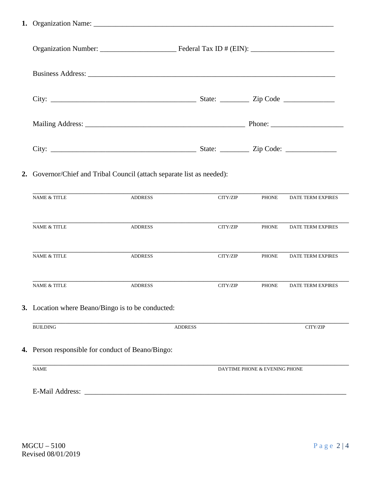**1.** Organization Name: \_\_\_\_\_\_\_\_\_\_\_\_\_\_\_\_\_\_\_\_\_\_\_\_\_\_\_\_\_\_\_\_\_\_\_\_\_\_\_\_\_\_\_\_\_\_\_\_\_\_\_\_\_\_\_\_\_\_\_\_\_\_\_\_\_\_

|                         | 2. Governor/Chief and Tribal Council (attach separate list as needed): |                |                               |                          |
|-------------------------|------------------------------------------------------------------------|----------------|-------------------------------|--------------------------|
| <b>NAME &amp; TITLE</b> | <b>ADDRESS</b>                                                         | CITY/ZIP       | <b>PHONE</b>                  | DATE TERM EXPIRES        |
| <b>NAME &amp; TITLE</b> | <b>ADDRESS</b>                                                         | CITY/ZIP       | <b>PHONE</b>                  | <b>DATE TERM EXPIRES</b> |
| <b>NAME &amp; TITLE</b> | <b>ADDRESS</b>                                                         | CITY/ZIP       | <b>PHONE</b>                  | DATE TERM EXPIRES        |
| NAME & TITLE            | <b>ADDRESS</b>                                                         | CITY/ZIP       | <b>PHONE</b>                  | <b>DATE TERM EXPIRES</b> |
|                         | 3. Location where Beano/Bingo is to be conducted:                      |                |                               |                          |
| <b>BUILDING</b>         |                                                                        | <b>ADDRESS</b> |                               | CITY/ZIP                 |
|                         | 4. Person responsible for conduct of Beano/Bingo:                      |                |                               |                          |
| <b>NAME</b>             |                                                                        |                | DAYTIME PHONE & EVENING PHONE |                          |
|                         |                                                                        |                |                               |                          |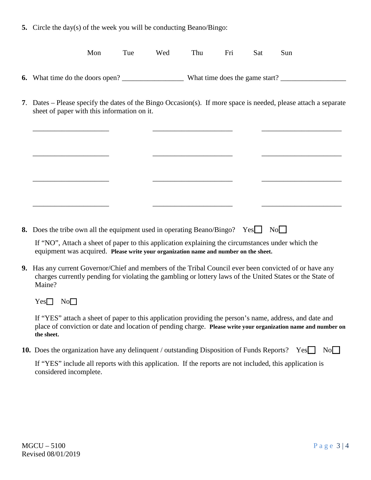**5.** Circle the day(s) of the week you will be conducting Beano/Bingo:

| Mon | Tue | Wed | Thu | - Fri | <b>Sat</b> | Sun |  |
|-----|-----|-----|-----|-------|------------|-----|--|
|     |     |     |     |       |            |     |  |

- **6.** What time do the doors open? What time does the game start?
- **7**. Dates Please specify the dates of the Bingo Occasion(s). If more space is needed, please attach a separate sheet of paper with this information on it.

\_\_\_\_\_\_\_\_\_\_\_\_\_\_\_\_\_\_\_\_\_ \_\_\_\_\_\_\_\_\_\_\_\_\_\_\_\_\_\_\_\_\_\_ \_\_\_\_\_\_\_\_\_\_\_\_\_\_\_\_\_\_\_\_\_\_

\_\_\_\_\_\_\_\_\_\_\_\_\_\_\_\_\_\_\_\_\_ \_\_\_\_\_\_\_\_\_\_\_\_\_\_\_\_\_\_\_\_\_\_ \_\_\_\_\_\_\_\_\_\_\_\_\_\_\_\_\_\_\_\_\_\_

\_\_\_\_\_\_\_\_\_\_\_\_\_\_\_\_\_\_\_\_\_ \_\_\_\_\_\_\_\_\_\_\_\_\_\_\_\_\_\_\_\_\_\_ \_\_\_\_\_\_\_\_\_\_\_\_\_\_\_\_\_\_\_\_\_\_

\_\_\_\_\_\_\_\_\_\_\_\_\_\_\_\_\_\_\_\_\_ \_\_\_\_\_\_\_\_\_\_\_\_\_\_\_\_\_\_\_\_\_\_ \_\_\_\_\_\_\_\_\_\_\_\_\_\_\_\_\_\_\_\_\_\_

**8.** Does the tribe own all the equipment used in operating Beano/Bingo? Yes No

If "NO", Attach a sheet of paper to this application explaining the circumstances under which the equipment was acquired. **Please write your organization name and number on the sheet.**

**9.** Has any current Governor/Chief and members of the Tribal Council ever been convicted of or have any charges currently pending for violating the gambling or lottery laws of the United States or the State of Maine?

 $Yes \Box No \Box$ 

If "YES" attach a sheet of paper to this application providing the person's name, address, and date and place of conviction or date and location of pending charge. **Please write your organization name and number on the sheet.**

**10.** Does the organization have any delinquent / outstanding Disposition of Funds Reports? Yes No

If "YES" include all reports with this application. If the reports are not included, this application is considered incomplete.